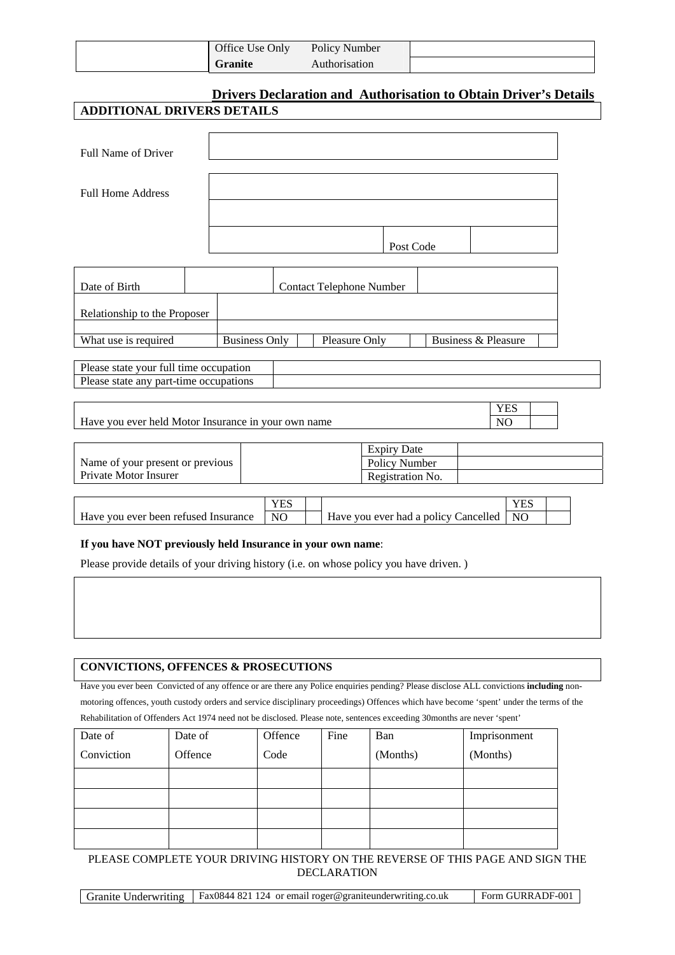| Office Use Only | Policy Number |  |
|-----------------|---------------|--|
| <b>Granite</b>  | Authorisation |  |

# **Drivers Declaration and Authorisation to Obtain Driver's Details ADDITIONAL DRIVERS DETAILS**

| <b>Full Name of Driver</b>                                                       |                      |                  |               |                                                         |                     |                         |  |
|----------------------------------------------------------------------------------|----------------------|------------------|---------------|---------------------------------------------------------|---------------------|-------------------------|--|
| <b>Full Home Address</b>                                                         |                      |                  |               |                                                         |                     |                         |  |
|                                                                                  |                      |                  |               | Post Code                                               |                     |                         |  |
| Date of Birth                                                                    |                      |                  |               | <b>Contact Telephone Number</b>                         |                     |                         |  |
| Relationship to the Proposer                                                     |                      |                  |               |                                                         |                     |                         |  |
| What use is required                                                             | <b>Business Only</b> |                  | Pleasure Only |                                                         | Business & Pleasure |                         |  |
| Please state your full time occupation<br>Please state any part-time occupations |                      |                  |               |                                                         |                     |                         |  |
| Have you ever held Motor Insurance in your own name                              |                      |                  |               |                                                         |                     | <b>YES</b><br><b>NO</b> |  |
| Name of your present or previous<br>Private Motor Insurer                        |                      |                  |               | <b>Expiry Date</b><br>Policy Number<br>Registration No. |                     |                         |  |
| Have you ever been refused Insurance                                             |                      | <b>YES</b><br>NO |               | Have you ever had a policy Cancelled                    |                     | <b>YES</b><br>NO        |  |

#### **If you have NOT previously held Insurance in your own name**:

Please provide details of your driving history (i.e. on whose policy you have driven. )

### **CONVICTIONS, OFFENCES & PROSECUTIONS**

Have you ever been Convicted of any offence or are there any Police enquiries pending? Please disclose ALL convictions **including** nonmotoring offences, youth custody orders and service disciplinary proceedings) Offences which have become 'spent' under the terms of the Rehabilitation of Offenders Act 1974 need not be disclosed. Please note, sentences exceeding 30months are never 'spent'

| Date of    | Date of | Offence | Fine | Ban      | Imprisonment |
|------------|---------|---------|------|----------|--------------|
| Conviction | Offence | Code    |      | (Months) | (Months)     |
|            |         |         |      |          |              |
|            |         |         |      |          |              |
|            |         |         |      |          |              |
|            |         |         |      |          |              |

### PLEASE COMPLETE YOUR DRIVING HISTORY ON THE REVERSE OF THIS PAGE AND SIGN THE DECLARATION

|  | Granite Underwriting   Fax0844 821 124 or email roger@graniteunderwriting.co.uk | Form GURRADF-001 |
|--|---------------------------------------------------------------------------------|------------------|
|--|---------------------------------------------------------------------------------|------------------|